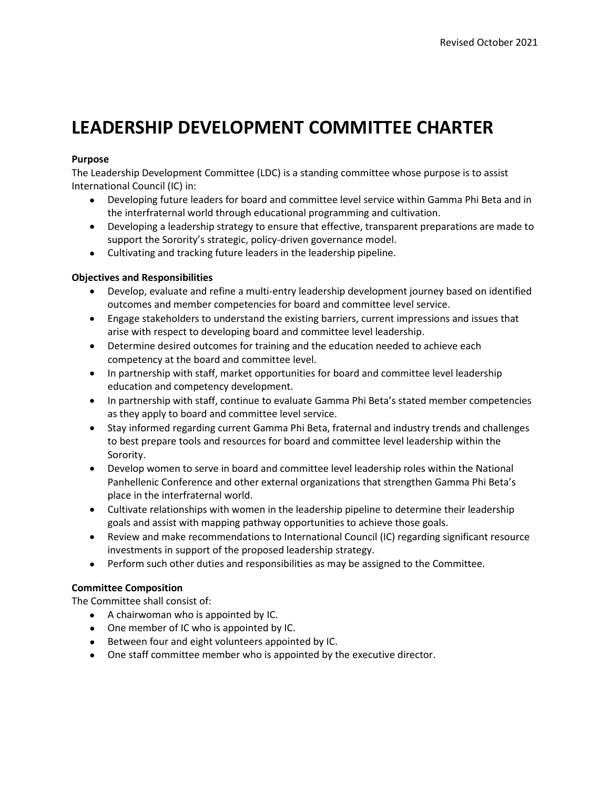# **LEADERSHIP DEVELOPMENT COMMITTEE CHARTER**

# **Purpose**

The Leadership Development Committee (LDC) is a standing committee whose purpose is to assist International Council (IC) in:

- Developing future leaders for board and committee level service within Gamma Phi Beta and in the interfraternal world through educational programming and cultivation.
- Developing a leadership strategy to ensure that effective, transparent preparations are made to support the Sorority's strategic, policy-driven governance model.
- Cultivating and tracking future leaders in the leadership pipeline.

# **Objectives and Responsibilities**

- Develop, evaluate and refine a multi-entry leadership development journey based on identified outcomes and member competencies for board and committee level service.
- Engage stakeholders to understand the existing barriers, current impressions and issues that arise with respect to developing board and committee level leadership.
- Determine desired outcomes for training and the education needed to achieve each competency at the board and committee level.
- In partnership with staff, market opportunities for board and committee level leadership education and competency development.
- In partnership with staff, continue to evaluate Gamma Phi Beta's stated member competencies as they apply to board and committee level service.
- Stay informed regarding current Gamma Phi Beta, fraternal and industry trends and challenges to best prepare tools and resources for board and committee level leadership within the Sorority.
- Develop women to serve in board and committee level leadership roles within the National Panhellenic Conference and other external organizations that strengthen Gamma Phi Beta's place in the interfraternal world.
- Cultivate relationships with women in the leadership pipeline to determine their leadership goals and assist with mapping pathway opportunities to achieve those goals.
- Review and make recommendations to International Council (IC) regarding significant resource investments in support of the proposed leadership strategy.
- Perform such other duties and responsibilities as may be assigned to the Committee.

### **Committee Composition**

The Committee shall consist of:

- A chairwoman who is appointed by IC.
- One member of IC who is appointed by IC.
- Between four and eight volunteers appointed by IC.
- One staff committee member who is appointed by the executive director.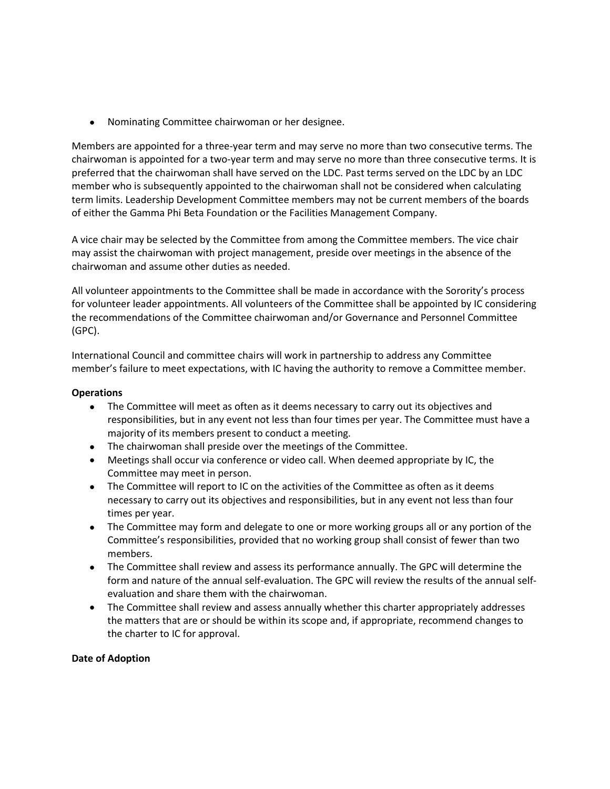• Nominating Committee chairwoman or her designee.

Members are appointed for a three-year term and may serve no more than two consecutive terms. The chairwoman is appointed for a two-year term and may serve no more than three consecutive terms. It is preferred that the chairwoman shall have served on the LDC. Past terms served on the LDC by an LDC member who is subsequently appointed to the chairwoman shall not be considered when calculating term limits. Leadership Development Committee members may not be current members of the boards of either the Gamma Phi Beta Foundation or the Facilities Management Company.

A vice chair may be selected by the Committee from among the Committee members. The vice chair may assist the chairwoman with project management, preside over meetings in the absence of the chairwoman and assume other duties as needed.

All volunteer appointments to the Committee shall be made in accordance with the Sorority's process for volunteer leader appointments. All volunteers of the Committee shall be appointed by IC considering the recommendations of the Committee chairwoman and/or Governance and Personnel Committee (GPC).

International Council and committee chairs will work in partnership to address any Committee member's failure to meet expectations, with IC having the authority to remove a Committee member.

### **Operations**

- The Committee will meet as often as it deems necessary to carry out its objectives and responsibilities, but in any event not less than four times per year. The Committee must have a majority of its members present to conduct a meeting.
- The chairwoman shall preside over the meetings of the Committee.
- Meetings shall occur via conference or video call. When deemed appropriate by IC, the Committee may meet in person.
- The Committee will report to IC on the activities of the Committee as often as it deems necessary to carry out its objectives and responsibilities, but in any event not less than four times per year.
- The Committee may form and delegate to one or more working groups all or any portion of the Committee's responsibilities, provided that no working group shall consist of fewer than two members.
- The Committee shall review and assess its performance annually. The GPC will determine the form and nature of the annual self-evaluation. The GPC will review the results of the annual selfevaluation and share them with the chairwoman.
- The Committee shall review and assess annually whether this charter appropriately addresses the matters that are or should be within its scope and, if appropriate, recommend changes to the charter to IC for approval.

### **Date of Adoption**